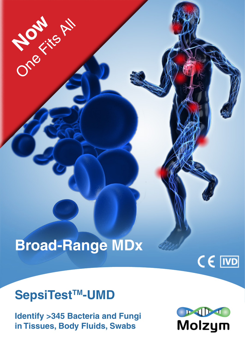# **Broad-Range MDx**

## **SepsiTest™-UMD**

One Fits All

**Identify >345 Bacteria and Fungi in Tissues, Body Fluids, Swabs**



CE IVD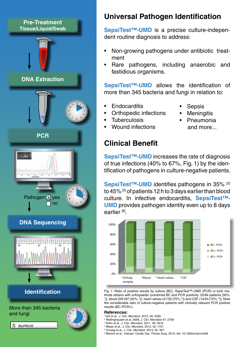## **Pre-Treatment**



 *S. aureus*.................



#### **Universal Pathogen Identification**

**SepsiTest™-UMD** is a precise culture-independent routine diagnosis to address:

- Non-growing pathogens under antibiotic treatment
- Rare pathogens, including anaerobic and fastidious organisms.

**SepsiTest™-UMD** allows the identification of more than 345 bacteria and fungi in relation to:

- **Endocarditis**
- Orthopedic infections
	-
- **Sepsis**
- **Meningitis**
- **Tuberculosis**
- Wound infections

## **Clinical Benefit**

**SepsiTest™-UMD** increases the rate of diagnosis of true infections (40% to 67%, Fig. 1) by the identification of pathogens in culture-negative patients.

**SepsiTest™-UMD** identifies pathogens in 35% <sup>[2]</sup> to 45% [5] of patients 12 h to 3 days earlier than blood culture. In infective endocarditis, **SepsiTest™- UMD** provides pathogen identity even up to 8 days earlier [6].



j Fig. 1: Ratio of positive results by culture (BC), SepsiTest™-UMD (PCR) or both methods obtains with orthopaedic (combined BC and PCR positivity: 25/84 patients [30%; 1]), blood (59/187 [32%; <sup>2</sup>]), heart valves (21/30 [70%; <sup>3</sup>]) and CSF (14/20 [70%; <sup>4</sup>]). Note the considerable ratio of culture-negative patients with clinically relevant PCR positive results (BC-/PCR+).

#### **References:**

- 1 Grif et al., J. Clin. Microbiol. 2012, 50: 2250
- 2 Wellinghausen et al. 2009, J. Clin. Microbiol 47: 2759
- 3 Kühn et al., J. Clin. Microbiol. 2011, 49: 2919
- 4 Meyer et al., J. Clin. Microbiol. 2014, 52: 1751 5 Orszag et al., J. Clin. Microbiol. 2013, 52: 307
- 6 Marsch et al., Interact. Cardia Vas. Thorac Surg. 2015, doi: 10.1093/icvts/ivv006
- Pneumonia
	- and more...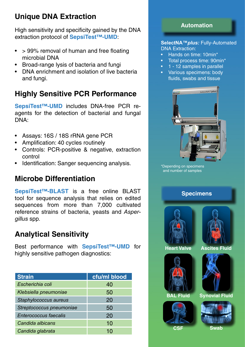### **Unique DNA Extraction**

High sensitivity and specificity gained by the DNA extraction protocol of **SepsiTest™-UMD**:

- $\bullet$  > 99% removal of human and free floating microbial DNA
- Broad-range lysis of bacteria and fungi
- DNA enrichment and isolation of live bacteria and fungi.

## **Highly Sensitive PCR Performance**

**SepsiTest™-UMD** includes DNA-free PCR reagents for the detection of bacterial and fungal DNA:

- Assays: 16S / 18S rRNA gene PCR
- Amplification: 40 cycles routinely
- Controls: PCR-positive & negative, extraction control
- Identification: Sanger sequencing analysis.

#### **Microbe Differentiation**

**SepsiTest™-BLAST** is a free online BLAST tool for sequence analysis that relies on edited sequences from more than 7,000 cultivated reference strains of bacteria, yeasts and *Aspergillus* spp*.*

## **Analytical Sensitivity**

Best performance with **SepsiTest™-UMD** for highly sensitive pathogen diagnostics:

| <b>Strain</b>                | cfu/ml blood |  |  |
|------------------------------|--------------|--|--|
| Escherichia coli             | 40           |  |  |
| Klebsiella pneumoniae        | 50           |  |  |
| Staphylococcus aureus        | 20           |  |  |
| Streptococcus pneumoniae     | 50           |  |  |
| <b>Enterococcus faecalis</b> | 20           |  |  |
| Candida albicans             | 10           |  |  |
| Candida glabrata             | 10           |  |  |



#### **SelectNA™***plus:* Fully-Automated DNA Extraction:

- Hands on time: 10min\*
- Total process time: 90min\*
- 1 12 samples in parallel
- Various specimens: body fluids, swabs and tissue



<sup>\*</sup>Depending on specimens and number of samples

#### **Specimens**





**Heart Valve Ascites Fluid**





**BAL Fluid Synovial Fluid**